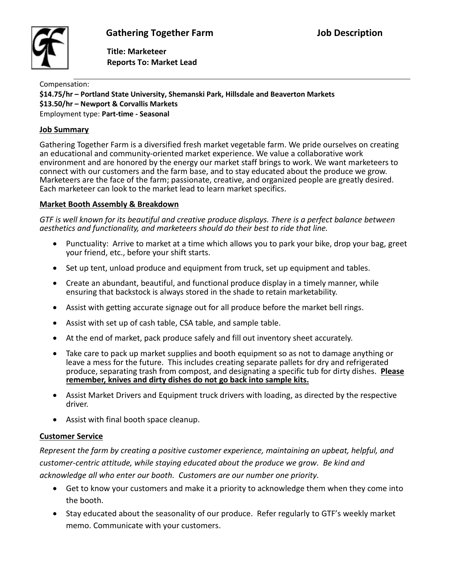

 **Title: Marketeer Reports To: Market Lead**

Compensation:

**\$14.75/hr – Portland State University, Shemanski Park, Hillsdale and Beaverton Markets \$13.50/hr – Newport & Corvallis Markets**  Employment type: **Part-time - Seasonal**

#### **Job Summary**

Gathering Together Farm is a diversified fresh market vegetable farm. We pride ourselves on creating an educational and community-oriented market experience. We value a collaborative work environment and are honored by the energy our market staff brings to work. We want marketeers to connect with our customers and the farm base, and to stay educated about the produce we grow. Marketeers are the face of the farm; passionate, creative, and organized people are greatly desired. Each marketeer can look to the market lead to learn market specifics.

#### **Market Booth Assembly & Breakdown**

*GTF is well known for its beautiful and creative produce displays. There is a perfect balance between aesthetics and functionality, and marketeers should do their best to ride that line.*

- Punctuality: Arrive to market at a time which allows you to park your bike, drop your bag, greet your friend, etc., before your shift starts.
- Set up tent, unload produce and equipment from truck, set up equipment and tables.
- Create an abundant, beautiful, and functional produce display in a timely manner, while ensuring that backstock is always stored in the shade to retain marketability.
- Assist with getting accurate signage out for all produce before the market bell rings.
- Assist with set up of cash table, CSA table, and sample table.
- At the end of market, pack produce safely and fill out inventory sheet accurately.
- Take care to pack up market supplies and booth equipment so as not to damage anything or leave a mess for the future. This includes creating separate pallets for dry and refrigerated produce, separating trash from compost, and designating a specific tub for dirty dishes. **Please remember, knives and dirty dishes do not go back into sample kits.**
- Assist Market Drivers and Equipment truck drivers with loading, as directed by the respective driver.
- Assist with final booth space cleanup.

#### **Customer Service**

*Represent the farm by creating a positive customer experience, maintaining an upbeat, helpful, and customer-centric attitude, while staying educated about the produce we grow. Be kind and acknowledge all who enter our booth. Customers are our number one priority.*

- Get to know your customers and make it a priority to acknowledge them when they come into the booth.
- Stay educated about the seasonality of our produce. Refer regularly to GTF's weekly market memo. Communicate with your customers.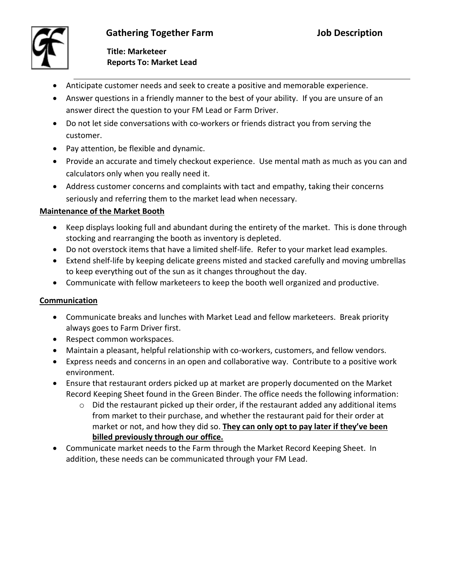## **Gathering Together Farm Job Description**



 **Title: Marketeer Reports To: Market Lead**

- Anticipate customer needs and seek to create a positive and memorable experience.
- Answer questions in a friendly manner to the best of your ability. If you are unsure of an answer direct the question to your FM Lead or Farm Driver.
- Do not let side conversations with co-workers or friends distract you from serving the customer.
- Pay attention, be flexible and dynamic.
- Provide an accurate and timely checkout experience. Use mental math as much as you can and calculators only when you really need it.
- Address customer concerns and complaints with tact and empathy, taking their concerns seriously and referring them to the market lead when necessary.

## **Maintenance of the Market Booth**

- Keep displays looking full and abundant during the entirety of the market. This is done through stocking and rearranging the booth as inventory is depleted.
- Do not overstock items that have a limited shelf-life. Refer to your market lead examples.
- Extend shelf-life by keeping delicate greens misted and stacked carefully and moving umbrellas to keep everything out of the sun as it changes throughout the day.
- Communicate with fellow marketeers to keep the booth well organized and productive.

## **Communication**

- Communicate breaks and lunches with Market Lead and fellow marketeers. Break priority always goes to Farm Driver first.
- Respect common workspaces.
- Maintain a pleasant, helpful relationship with co-workers, customers, and fellow vendors.
- Express needs and concerns in an open and collaborative way. Contribute to a positive work environment.
- Ensure that restaurant orders picked up at market are properly documented on the Market Record Keeping Sheet found in the Green Binder. The office needs the following information:
	- $\circ$  Did the restaurant picked up their order, if the restaurant added any additional items from market to their purchase, and whether the restaurant paid for their order at market or not, and how they did so. **They can only opt to pay later if they've been billed previously through our office.**
- Communicate market needs to the Farm through the Market Record Keeping Sheet. In addition, these needs can be communicated through your FM Lead.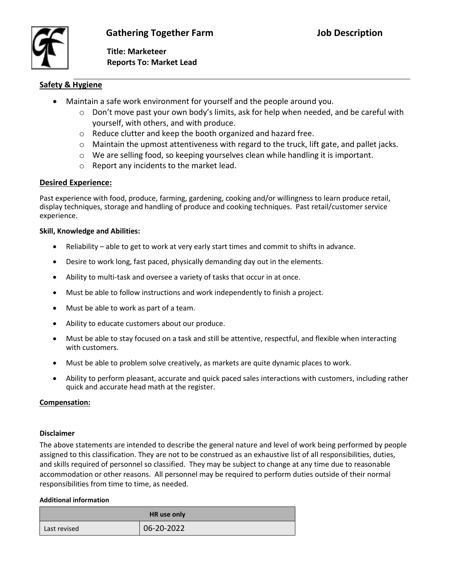**Title: Marketeer Reports To: Market Lead**

### **Safety & Hygiene**

- Maintain a safe work environment for yourself and the people around you.
	- $\circ$  Don't move past your own body's limits, ask for help when needed, and be careful with yourself, with others, and with produce.
	- o Reduce clutter and keep the booth organized and hazard free.
	- o Maintain the upmost attentiveness with regard to the truck, lift gate, and pallet jacks.
	- $\circ$  We are selling food, so keeping yourselves clean while handling it is important.
	- o Report any incidents to the market lead.

#### **Desired Experience:**

Past experience with food, produce, farming, gardening, cooking and/or willingness to learn produce retail, display techniques, storage and handling of produce and cooking techniques. Past retail/customer service experience.

#### **Skill, Knowledge and Abilities:**

- Reliability able to get to work at very early start times and commit to shifts in advance.
- Desire to work long, fast paced, physically demanding day out in the elements.
- Ability to multi-task and oversee a variety of tasks that occur in at once.
- Must be able to follow instructions and work independently to finish a project.
- Must be able to work as part of a team.
- Ability to educate customers about our produce.
- Must be able to stay focused on a task and still be attentive, respectful, and flexible when interacting with customers.
- Must be able to problem solve creatively, as markets are quite dynamic places to work.
- Ability to perform pleasant, accurate and quick paced sales interactions with customers, including rather quick and accurate head math at the register.

#### **Compensation:**

#### **Disclaimer**

The above statements are intended to describe the general nature and level of work being performed by people assigned to this classification. They are not to be construed as an exhaustive list of all responsibilities, duties, and skills required of personnel so classified. They may be subject to change at any time due to reasonable accommodation or other reasons. All personnel may be required to perform duties outside of their normal responsibilities from time to time, as needed.

#### **Additional information**

| HR use only  |            |  |
|--------------|------------|--|
| Last revised | 06-20-2022 |  |